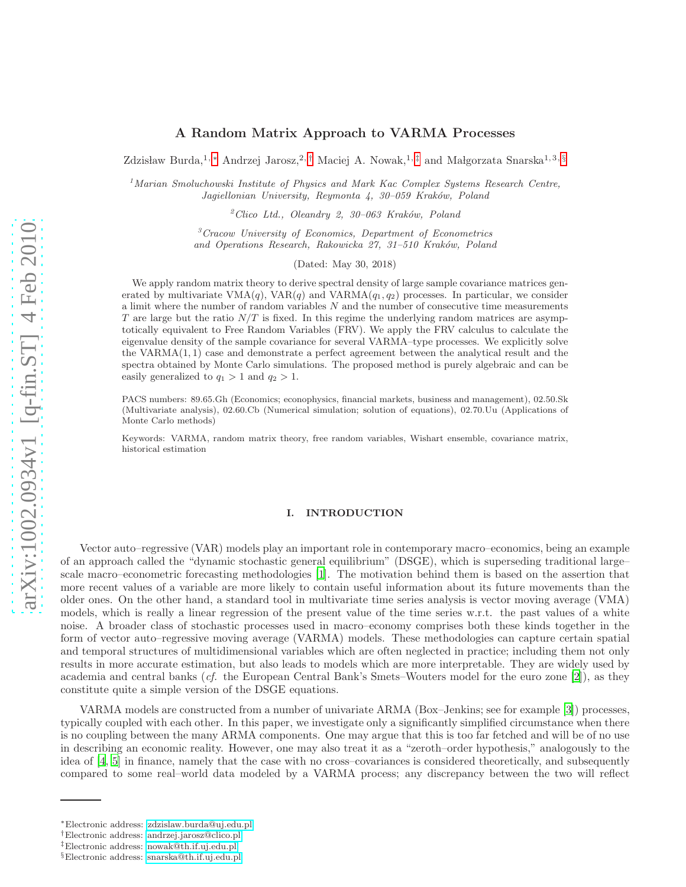# A Random Matrix Approach to VARMA Processes

Zdzisław Burda,<sup>1, [∗](#page-0-0)</sup> Andrzej Jarosz,<sup>2,[†](#page-0-1)</sup> Maciej A. Nowak,<sup>1,[‡](#page-0-2)</sup> and Małgorzata Snarska<sup>1,3, [§](#page-0-3)</sup>

<sup>1</sup>*Marian Smoluchowski Institute of Physics and Mark Kac Complex Systems Research Centre, Jagiellonian University, Reymonta 4, 30–059 Krak´ow, Poland*

<sup>2</sup>*Clico Ltd., Oleandry 2, 30–063 Krak´ow, Poland*

<sup>3</sup>*Cracow University of Economics, Department of Econometrics and Operations Research, Rakowicka 27, 31–510 Krak´ow, Poland*

(Dated: May 30, 2018)

We apply random matrix theory to derive spectral density of large sample covariance matrices generated by multivariate  $VMA(q)$ ,  $VAR(q)$  and  $VARMA(q_1, q_2)$  processes. In particular, we consider a limit where the number of random variables  $N$  and the number of consecutive time measurements T are large but the ratio  $N/T$  is fixed. In this regime the underlying random matrices are asymptotically equivalent to Free Random Variables (FRV). We apply the FRV calculus to calculate the eigenvalue density of the sample covariance for several VARMA–type processes. We explicitly solve the VARMA(1, 1) case and demonstrate a perfect agreement between the analytical result and the spectra obtained by Monte Carlo simulations. The proposed method is purely algebraic and can be easily generalized to  $q_1 > 1$  and  $q_2 > 1$ .

PACS numbers: 89.65.Gh (Economics; econophysics, financial markets, business and management), 02.50.Sk (Multivariate analysis), 02.60.Cb (Numerical simulation; solution of equations), 02.70.Uu (Applications of Monte Carlo methods)

Keywords: VARMA, random matrix theory, free random variables, Wishart ensemble, covariance matrix, historical estimation

# I. INTRODUCTION

Vector auto–regressive (VAR) models play an important role in contemporary macro–economics, being an example of an approach called the "dynamic stochastic general equilibrium" (DSGE), which is superseding traditional large– scale macro–econometric forecasting methodologies [\[1\]](#page-14-0). The motivation behind them is based on the assertion that more recent values of a variable are more likely to contain useful information about its future movements than the older ones. On the other hand, a standard tool in multivariate time series analysis is vector moving average (VMA) models, which is really a linear regression of the present value of the time series w.r.t. the past values of a white noise. A broader class of stochastic processes used in macro–economy comprises both these kinds together in the form of vector auto–regressive moving average (VARMA) models. These methodologies can capture certain spatial and temporal structures of multidimensional variables which are often neglected in practice; including them not only results in more accurate estimation, but also leads to models which are more interpretable. They are widely used by academia and central banks (cf. the European Central Bank's Smets–Wouters model for the euro zone [\[2\]](#page-14-1)), as they constitute quite a simple version of the DSGE equations.

VARMA models are constructed from a number of univariate ARMA (Box–Jenkins; see for example [\[3](#page-14-2)]) processes, typically coupled with each other. In this paper, we investigate only a significantly simplified circumstance when there is no coupling between the many ARMA components. One may argue that this is too far fetched and will be of no use in describing an economic reality. However, one may also treat it as a "zeroth–order hypothesis," analogously to the idea of [\[4](#page-15-0), [5](#page-15-1)] in finance, namely that the case with no cross–covariances is considered theoretically, and subsequently compared to some real–world data modeled by a VARMA process; any discrepancy between the two will reflect

<span id="page-0-0"></span><sup>∗</sup>Electronic address: [zdzislaw.burda@uj.edu.pl](mailto:zdzislaw.burda@uj.edu.pl)

<span id="page-0-1"></span><sup>†</sup>Electronic address: [andrzej.jarosz@clico.pl](mailto:andrzej.jarosz@clico.pl)

<span id="page-0-2"></span><sup>‡</sup>Electronic address: [nowak@th.if.uj.edu.pl](mailto:nowak@th.if.uj.edu.pl)

<span id="page-0-3"></span><sup>§</sup>Electronic address: [snarska@th.if.uj.edu.pl](mailto:snarska@th.if.uj.edu.pl)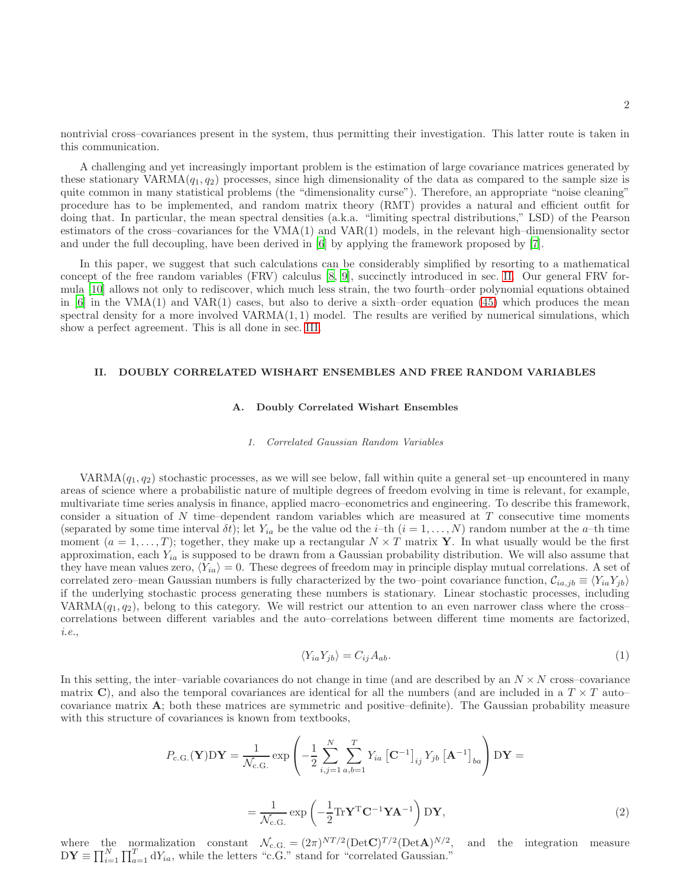nontrivial cross–covariances present in the system, thus permitting their investigation. This latter route is taken in this communication.

A challenging and yet increasingly important problem is the estimation of large covariance matrices generated by these stationary VARMA $(q_1, q_2)$  processes, since high dimensionality of the data as compared to the sample size is quite common in many statistical problems (the "dimensionality curse"). Therefore, an appropriate "noise cleaning" procedure has to be implemented, and random matrix theory (RMT) provides a natural and efficient outfit for doing that. In particular, the mean spectral densities (a.k.a. "limiting spectral distributions," LSD) of the Pearson estimators of the cross–covariances for the VMA(1) and VAR(1) models, in the relevant high–dimensionality sector and under the full decoupling, have been derived in [\[6\]](#page-15-2) by applying the framework proposed by [\[7](#page-15-3)].

In this paper, we suggest that such calculations can be considerably simplified by resorting to a mathematical concept of the free random variables (FRV) calculus [\[8,](#page-15-4) [9](#page-15-5)], succinctly introduced in sec. [II.](#page-1-0) Our general FRV formula [\[10\]](#page-15-6) allows not only to rediscover, which much less strain, the two fourth–order polynomial equations obtained in  $[6]$  in the VMA(1) and VAR(1) cases, but also to derive a sixth–order equation [\(45\)](#page-14-3) which produces the mean spectral density for a more involved  $VARMA(1, 1)$  model. The results are verified by numerical simulations, which show a perfect agreement. This is all done in sec. [III.](#page-5-0)

## <span id="page-1-0"></span>II. DOUBLY CORRELATED WISHART ENSEMBLES AND FREE RANDOM VARIABLES

## A. Doubly Correlated Wishart Ensembles

#### *1. Correlated Gaussian Random Variables*

VARMA $(q_1, q_2)$  stochastic processes, as we will see below, fall within quite a general set–up encountered in many areas of science where a probabilistic nature of multiple degrees of freedom evolving in time is relevant, for example, multivariate time series analysis in finance, applied macro–econometrics and engineering. To describe this framework, consider a situation of  $N$  time–dependent random variables which are measured at  $T$  consecutive time moments (separated by some time interval  $\delta t$ ); let  $Y_{ia}$  be the value od the *i*-th  $(i = 1, ..., N)$  random number at the *a*-th time moment  $(a = 1, \ldots, T)$ ; together, they make up a rectangular  $N \times T$  matrix Y. In what usually would be the first approximation, each  $Y_{ia}$  is supposed to be drawn from a Gaussian probability distribution. We will also assume that they have mean values zero,  $\langle Y_{ia} \rangle = 0$ . These degrees of freedom may in principle display mutual correlations. A set of correlated zero–mean Gaussian numbers is fully characterized by the two–point covariance function,  $C_{ia,jb} \equiv \langle Y_{ia}Y_{jb} \rangle$ if the underlying stochastic process generating these numbers is stationary. Linear stochastic processes, including VARMA $(q_1, q_2)$ , belong to this category. We will restrict our attention to an even narrower class where the cross– correlations between different variables and the auto–correlations between different time moments are factorized, i.e.,

$$
\langle Y_{ia} Y_{jb} \rangle = C_{ij} A_{ab}.\tag{1}
$$

In this setting, the inter–variable covariances do not change in time (and are described by an  $N \times N$  cross–covariance matrix C), and also the temporal covariances are identical for all the numbers (and are included in a  $T \times T$  auto– covariance matrix A; both these matrices are symmetric and positive–definite). The Gaussian probability measure with this structure of covariances is known from textbooks,

$$
P_{\text{c.G.}}(\mathbf{Y})\mathbf{D}\mathbf{Y} = \frac{1}{\mathcal{N}_{\text{c.G.}}}\exp\left(-\frac{1}{2}\sum_{i,j=1}^{N}\sum_{a,b=1}^{T}Y_{ia}\left[\mathbf{C}^{-1}\right]_{ij}Y_{jb}\left[\mathbf{A}^{-1}\right]_{ba}\right)\mathbf{D}\mathbf{Y} =
$$

$$
= \frac{1}{\mathcal{N}_{\text{c.G.}}}\exp\left(-\frac{1}{2}\mathbf{Tr}\mathbf{Y}^{\text{T}}\mathbf{C}^{-1}\mathbf{Y}\mathbf{A}^{-1}\right)\mathbf{D}\mathbf{Y},\tag{2}
$$

where the normalization constant  $\mathcal{N}_{c.G.} = (2\pi)^{NT/2} (\text{Det} \mathbf{C})^{T/2} (\text{Det} \mathbf{A})^{N/2}$ , and the integration measure  $DY \equiv \prod_{i=1}^{N} \prod_{a=1}^{T} dY_{ia}$ , while the letters "c.G." stand for "correlated Gaussian."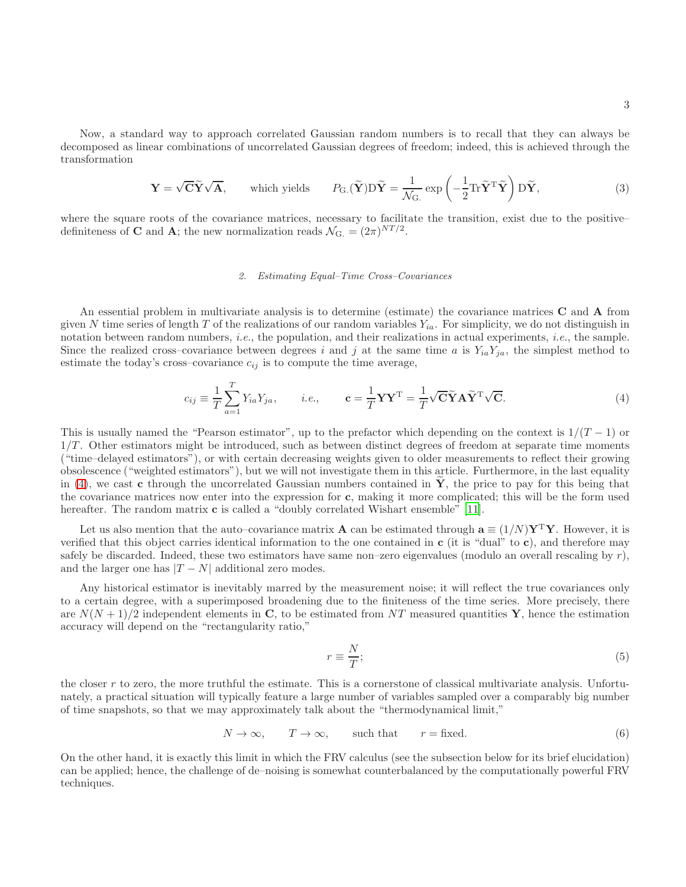Now, a standard way to approach correlated Gaussian random numbers is to recall that they can always be decomposed as linear combinations of uncorrelated Gaussian degrees of freedom; indeed, this is achieved through the transformation

$$
\mathbf{Y} = \sqrt{\mathbf{C}} \widetilde{\mathbf{Y}} \sqrt{\mathbf{A}}, \qquad \text{which yields} \qquad P_{\mathbf{G}}(\widetilde{\mathbf{Y}}) \mathbf{D} \widetilde{\mathbf{Y}} = \frac{1}{\mathcal{N}_{\mathbf{G}}} \exp\left(-\frac{1}{2} \text{Tr} \widetilde{\mathbf{Y}}^{\mathrm{T}} \widetilde{\mathbf{Y}}\right) \mathbf{D} \widetilde{\mathbf{Y}}, \tag{3}
$$

where the square roots of the covariance matrices, necessary to facilitate the transition, exist due to the positive– definiteness of **C** and **A**; the new normalization reads  $\mathcal{N}_{G} = (2\pi)^{NT/2}$ .

### *2. Estimating Equal–Time Cross–Covariances*

An essential problem in multivariate analysis is to determine (estimate) the covariance matrices C and A from given N time series of length T of the realizations of our random variables  $Y_{ia}$ . For simplicity, we do not distinguish in notation between random numbers, i.e., the population, and their realizations in actual experiments, i.e., the sample. Since the realized cross–covariance between degrees i and j at the same time a is  $Y_{ia}Y_{ja}$ , the simplest method to estimate the today's cross–covariance  $c_{ij}$  is to compute the time average,

<span id="page-2-0"></span>
$$
c_{ij} \equiv \frac{1}{T} \sum_{a=1}^{T} Y_{ia} Y_{ja}, \qquad i.e., \qquad \mathbf{c} = \frac{1}{T} \mathbf{Y} \mathbf{Y}^{\mathrm{T}} = \frac{1}{T} \sqrt{\mathbf{C}} \widetilde{\mathbf{Y}} \mathbf{A} \widetilde{\mathbf{Y}}^{\mathrm{T}} \sqrt{\mathbf{C}}.
$$
 (4)

This is usually named the "Pearson estimator", up to the prefactor which depending on the context is  $1/(T-1)$  or  $1/T$ . Other estimators might be introduced, such as between distinct degrees of freedom at separate time moments ("time–delayed estimators"), or with certain decreasing weights given to older measurements to reflect their growing obsolescence ("weighted estimators"), but we will not investigate them in this article. Furthermore, in the last equality in [\(4\)](#page-2-0), we cast c through the uncorrelated Gaussian numbers contained in  $\bf{Y}$ , the price to pay for this being that the covariance matrices now enter into the expression for c, making it more complicated; this will be the form used hereafter. The random matrix **c** is called a "doubly correlated Wishart ensemble" [\[11](#page-15-7)].

Let us also mention that the auto–covariance matrix **A** can be estimated through  $\mathbf{a} \equiv (1/N)\mathbf{Y}^T\mathbf{Y}$ . However, it is verified that this object carries identical information to the one contained in  $c$  (it is "dual" to  $c$ ), and therefore may safely be discarded. Indeed, these two estimators have same non–zero eigenvalues (modulo an overall rescaling by  $r$ ), and the larger one has  $|T - N|$  additional zero modes.

Any historical estimator is inevitably marred by the measurement noise; it will reflect the true covariances only to a certain degree, with a superimposed broadening due to the finiteness of the time series. More precisely, there are  $N(N+1)/2$  independent elements in C, to be estimated from NT measured quantities Y, hence the estimation accuracy will depend on the "rectangularity ratio,"

$$
r \equiv \frac{N}{T};\tag{5}
$$

the closer r to zero, the more truthful the estimate. This is a cornerstone of classical multivariate analysis. Unfortunately, a practical situation will typically feature a large number of variables sampled over a comparably big number of time snapshots, so that we may approximately talk about the "thermodynamical limit,"

<span id="page-2-1"></span>
$$
N \to \infty, \qquad T \to \infty, \qquad \text{such that} \qquad r = \text{fixed.} \tag{6}
$$

On the other hand, it is exactly this limit in which the FRV calculus (see the subsection below for its brief elucidation) can be applied; hence, the challenge of de–noising is somewhat counterbalanced by the computationally powerful FRV techniques.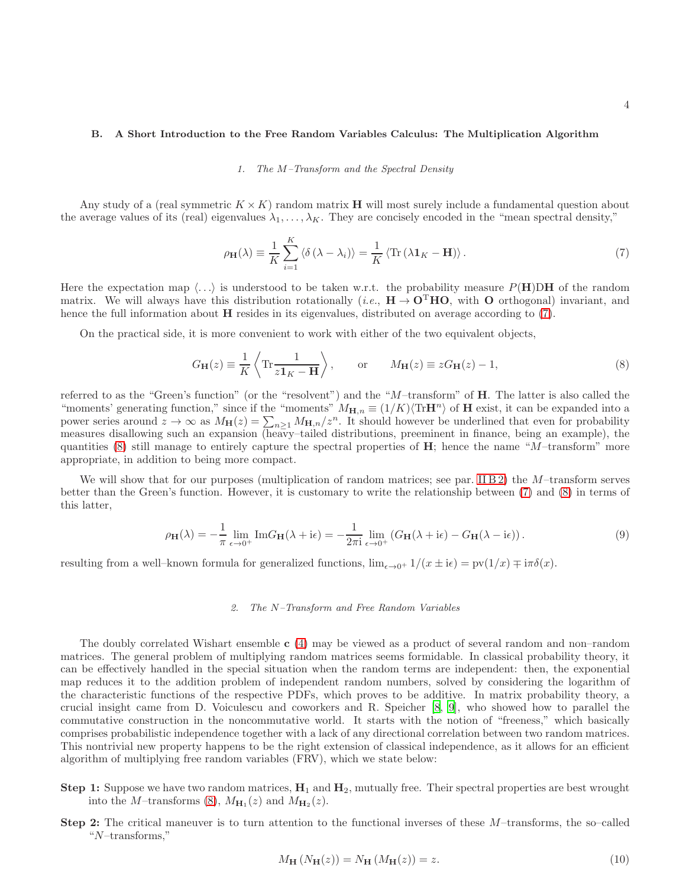### B. A Short Introduction to the Free Random Variables Calculus: The Multiplication Algorithm

#### *1. The* M*–Transform and the Spectral Density*

Any study of a (real symmetric  $K \times K$ ) random matrix **H** will most surely include a fundamental question about the average values of its (real) eigenvalues  $\lambda_1, \ldots, \lambda_K$ . They are concisely encoded in the "mean spectral density,"

<span id="page-3-0"></span>
$$
\rho_{\mathbf{H}}(\lambda) \equiv \frac{1}{K} \sum_{i=1}^{K} \langle \delta (\lambda - \lambda_i) \rangle = \frac{1}{K} \langle \text{Tr} (\lambda \mathbf{1}_K - \mathbf{H}) \rangle. \tag{7}
$$

Here the expectation map  $\langle \ldots \rangle$  is understood to be taken w.r.t. the probability measure P(H)DH of the random matrix. We will always have this distribution rotationally (*i.e.*,  $\mathbf{H} \to \mathbf{O}^{\mathrm{T}} \mathbf{H} \mathbf{O}$ , with  $\mathbf{O}$  orthogonal) invariant, and hence the full information about **H** resides in its eigenvalues, distributed on average according to [\(7\)](#page-3-0).

On the practical side, it is more convenient to work with either of the two equivalent objects,

<span id="page-3-1"></span>
$$
G_{\mathbf{H}}(z) \equiv \frac{1}{K} \left\langle \text{Tr} \frac{1}{z \mathbf{1}_K - \mathbf{H}} \right\rangle, \quad \text{or} \quad M_{\mathbf{H}}(z) \equiv z G_{\mathbf{H}}(z) - 1,\tag{8}
$$

referred to as the "Green's function" (or the "resolvent") and the "M-transform" of **H**. The latter is also called the "moments' generating function," since if the "moments"  $M_{\mathbf{H},n} \equiv (1/K)\langle \text{Tr}\mathbf{H}^n \rangle$  of  $\mathbf{H}$  exist, it can be expanded into a power series around  $z \to \infty$  as  $M_H(z) = \sum_{n\geq 1} M_{H,n}/z^n$ . It should however be underlined that even for probability measures disallowing such an expansion (heavy–tailed distributions, preeminent in finance, being an example), the quantities  $(8)$  still manage to entirely capture the spectral properties of H; hence the name "M–transform" more appropriate, in addition to being more compact.

We will show that for our purposes (multiplication of random matrices; see par. [II B 2\)](#page-3-2) the  $M$ -transform serves better than the Green's function. However, it is customary to write the relationship between [\(7\)](#page-3-0) and [\(8\)](#page-3-1) in terms of this latter,

<span id="page-3-3"></span>
$$
\rho_{\mathbf{H}}(\lambda) = -\frac{1}{\pi} \lim_{\epsilon \to 0^{+}} \text{Im} G_{\mathbf{H}}(\lambda + i\epsilon) = -\frac{1}{2\pi i} \lim_{\epsilon \to 0^{+}} \left( G_{\mathbf{H}}(\lambda + i\epsilon) - G_{\mathbf{H}}(\lambda - i\epsilon) \right). \tag{9}
$$

resulting from a well–known formula for generalized functions,  $\lim_{\epsilon \to 0^+} 1/(x \pm i\epsilon) = \text{pv}(1/x) \mp i\pi\delta(x)$ .

## <span id="page-3-2"></span>*2. The* N*–Transform and Free Random Variables*

The doubly correlated Wishart ensemble c [\(4\)](#page-2-0) may be viewed as a product of several random and non–random matrices. The general problem of multiplying random matrices seems formidable. In classical probability theory, it can be effectively handled in the special situation when the random terms are independent: then, the exponential map reduces it to the addition problem of independent random numbers, solved by considering the logarithm of the characteristic functions of the respective PDFs, which proves to be additive. In matrix probability theory, a crucial insight came from D. Voiculescu and coworkers and R. Speicher [\[8,](#page-15-4) [9\]](#page-15-5), who showed how to parallel the commutative construction in the noncommutative world. It starts with the notion of "freeness," which basically comprises probabilistic independence together with a lack of any directional correlation between two random matrices. This nontrivial new property happens to be the right extension of classical independence, as it allows for an efficient algorithm of multiplying free random variables (FRV), which we state below:

- **Step 1:** Suppose we have two random matrices,  $H_1$  and  $H_2$ , mutually free. Their spectral properties are best wrought into the *M*-transforms [\(8\)](#page-3-1),  $M_{\mathbf{H}_1}(z)$  and  $M_{\mathbf{H}_2}(z)$ .
- Step 2: The critical maneuver is to turn attention to the functional inverses of these M–transforms, the so–called "N–transforms,"

$$
M_{\mathbf{H}}\left(N_{\mathbf{H}}(z)\right) = N_{\mathbf{H}}\left(M_{\mathbf{H}}(z)\right) = z.\tag{10}
$$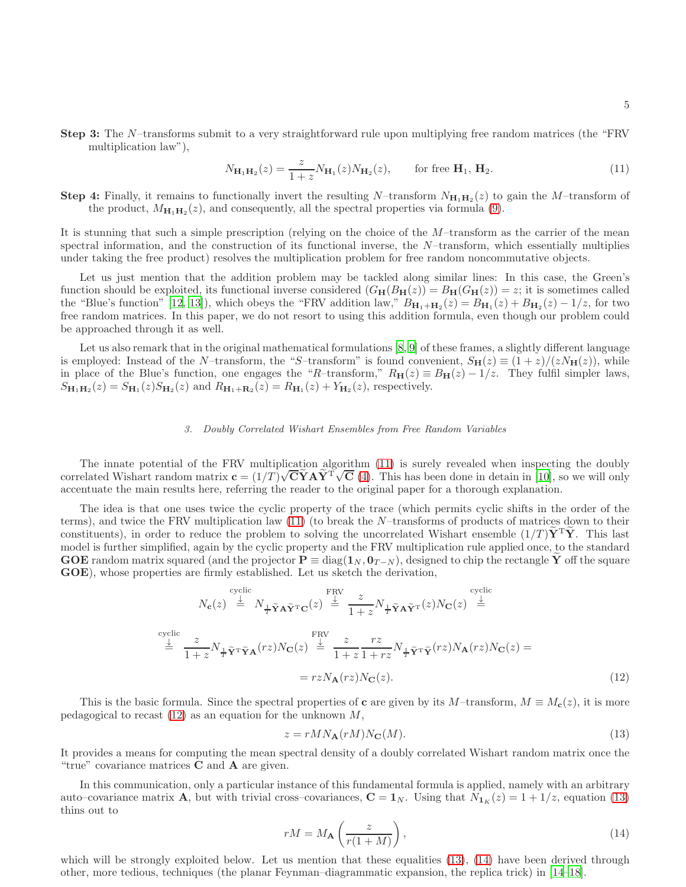Step 3: The N–transforms submit to a very straightforward rule upon multiplying free random matrices (the "FRV multiplication law"),

<span id="page-4-0"></span>
$$
N_{\mathbf{H}_1 \mathbf{H}_2}(z) = \frac{z}{1+z} N_{\mathbf{H}_1}(z) N_{\mathbf{H}_2}(z), \quad \text{for free } \mathbf{H}_1, \mathbf{H}_2.
$$
 (11)

**Step 4:** Finally, it remains to functionally invert the resulting N-transform  $N_{\mathbf{H}_1\mathbf{H}_2}(z)$  to gain the M-transform of the product,  $M_{\mathbf{H}_1 \mathbf{H}_2}(z)$ , and consequently, all the spectral properties via formula [\(9\)](#page-3-3).

It is stunning that such a simple prescription (relying on the choice of the  $M$ –transform as the carrier of the mean spectral information, and the construction of its functional inverse, the  $N$ -transform, which essentially multiplies under taking the free product) resolves the multiplication problem for free random noncommutative objects.

Let us just mention that the addition problem may be tackled along similar lines: In this case, the Green's function should be exploited, its functional inverse considered  $(G_{\mathbf{H}}(B_{\mathbf{H}}(z)) = B_{\mathbf{H}}(G_{\mathbf{H}}(z)) = z$ ; it is sometimes called the "Blue's function" [\[12](#page-15-8), [13](#page-15-9)]), which obeys the "FRV addition law,"  $B_{\mathbf{H}_1+\mathbf{H}_2}(z) = B_{\mathbf{H}_1}(z) + B_{\mathbf{H}_2}(z) - 1/z$ , for two free random matrices. In this paper, we do not resort to using this addition formula, even though our problem could be approached through it as well.

Let us also remark that in the original mathematical formulations [\[8](#page-15-4), [9](#page-15-5)] of these frames, a slightly different language is employed: Instead of the N–transform, the "S–transform" is found convenient,  $S_H(z) \equiv (1+z)/(zN_H(z))$ , while in place of the Blue's function, one engages the "R–transform,"  $R_H(z) \equiv B_H(z) - 1/z$ . They fulfil simpler laws,  $S_{\mathbf{H}_1\mathbf{H}_2}(z) = S_{\mathbf{H}_1}(z)S_{\mathbf{H}_2}(z)$  and  $R_{\mathbf{H}_1+\mathbf{R}_2}(z) = R_{\mathbf{H}_1}(z) + Y_{\mathbf{H}_2}(z)$ , respectively.

### *3. Doubly Correlated Wishart Ensembles from Free Random Variables*

The innate potential of the FRV multiplication algorithm [\(11\)](#page-4-0) is surely revealed when inspecting the doubly correlated Wishart random matrix  $\mathbf{c} = (1/T)\sqrt{\mathbf{C}}\mathbf{\hat{Y}}\mathbf{A}\mathbf{\hat{Y}}^{\mathrm{T}}\sqrt{\mathbf{C}}$  [\(4\)](#page-2-0). This has been done in detain in [\[10](#page-15-6)], so we will only accentuate the main results here, referring the reader to the original paper for a thorough explanation.

The idea is that one uses twice the cyclic property of the trace (which permits cyclic shifts in the order of the terms), and twice the FRV multiplication law [\(11\)](#page-4-0) (to break the N–transforms of products of matrices down to their constituents), in order to reduce the problem to solving the uncorrelated Wishart ensemble  $(1/T)\mathbf{Y}^T\mathbf{Y}$ . This last model is further simplified, again by the cyclic property and the FRV multiplication rule applied once, to the standard GOE random matrix squared (and the projector  $P \equiv diag(1_N, 0_{T-N})$ , designed to chip the rectangle Y off the square GOE), whose properties are firmly established. Let us sketch the derivation,

$$
N_{\mathbf{c}}(z) \stackrel{\text{cyclic}}{=} N_{\frac{1}{T}\tilde{\mathbf{Y}}\mathbf{A}\tilde{\mathbf{Y}}^{\text{T}}\mathbf{C}}(z) \stackrel{\text{FRV}}{=} \frac{z}{1+z} N_{\frac{1}{T}\tilde{\mathbf{Y}}\mathbf{A}\tilde{\mathbf{Y}}^{\text{T}}}(z) N_{\mathbf{C}}(z) \stackrel{\text{cyclic}}{=}
$$
  
\n
$$
\stackrel{\text{cyclic}}{=} \frac{z}{1+z} N_{\frac{1}{T}\tilde{\mathbf{Y}}^{\text{T}}\tilde{\mathbf{Y}}\mathbf{A}}(rz) N_{\mathbf{C}}(z) \stackrel{\text{FRV}}{=} \frac{z}{1+z} \frac{rz}{1+rz} N_{\frac{1}{T}\tilde{\mathbf{Y}}^{\text{T}}\tilde{\mathbf{Y}}}(rz) N_{\mathbf{A}}(rz) N_{\mathbf{C}}(z) =
$$
  
\n
$$
= rz N_{\mathbf{A}}(rz) N_{\mathbf{C}}(z). \tag{12}
$$

This is the basic formula. Since the spectral properties of c are given by its  $M$ –transform,  $M \equiv M_c(z)$ , it is more pedagogical to recast  $(12)$  as an equation for the unknown  $M$ ,

<span id="page-4-2"></span><span id="page-4-1"></span>
$$
z = rMN_{\mathbf{A}}(rM)N_{\mathbf{C}}(M). \tag{13}
$$

It provides a means for computing the mean spectral density of a doubly correlated Wishart random matrix once the "true" covariance matrices  $C$  and  $A$  are given.

In this communication, only a particular instance of this fundamental formula is applied, namely with an arbitrary auto–covariance matrix **A**, but with trivial cross–covariances,  $\mathbf{C} = \mathbf{1}_N$ . Using that  $N_{1\kappa}(z) = 1 + 1/z$ , equation [\(13\)](#page-4-2) thins out to

<span id="page-4-3"></span>
$$
rM = M_{\mathbf{A}}\left(\frac{z}{r(1+M)}\right),\tag{14}
$$

which will be strongly exploited below. Let us mention that these equalities [\(13\)](#page-4-2), [\(14\)](#page-4-3) have been derived through other, more tedious, techniques (the planar Feynman–diagrammatic expansion, the replica trick) in [\[14](#page-15-10)[–18\]](#page-15-11).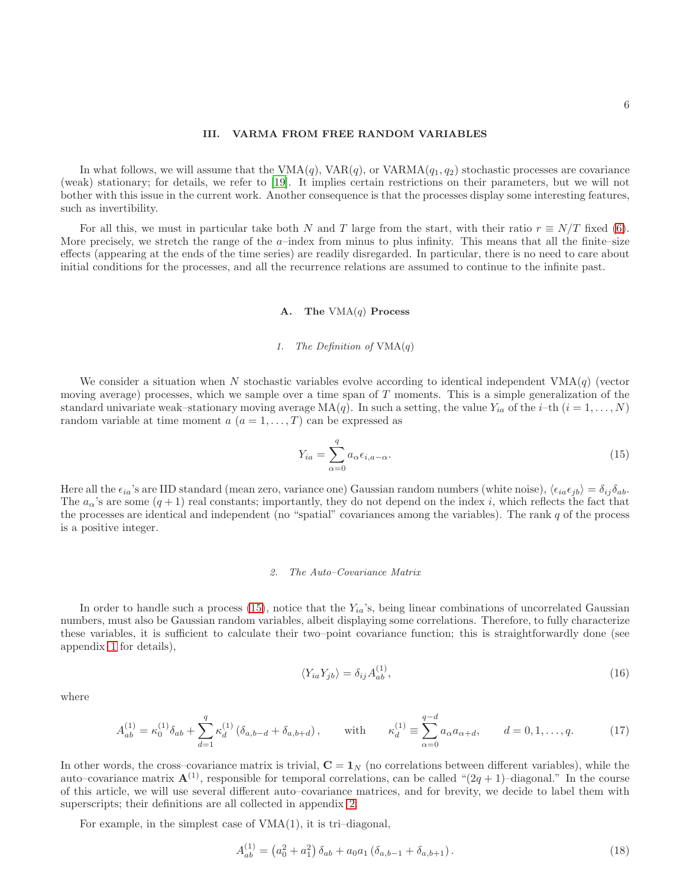## <span id="page-5-0"></span>III. VARMA FROM FREE RANDOM VARIABLES

In what follows, we will assume that the  $VMA(q)$ ,  $VAR(q)$ , or  $VARMA(q_1, q_2)$  stochastic processes are covariance (weak) stationary; for details, we refer to [\[19\]](#page-15-12). It implies certain restrictions on their parameters, but we will not bother with this issue in the current work. Another consequence is that the processes display some interesting features, such as invertibility.

For all this, we must in particular take both N and T large from the start, with their ratio  $r \equiv N/T$  fixed [\(6\)](#page-2-1). More precisely, we stretch the range of the  $a$ –index from minus to plus infinity. This means that all the finite–size effects (appearing at the ends of the time series) are readily disregarded. In particular, there is no need to care about initial conditions for the processes, and all the recurrence relations are assumed to continue to the infinite past.

## A. The  $VMA(q)$  Process

# *1. The Definition of* VMA(q)

We consider a situation when N stochastic variables evolve according to identical independent  $VMA(q)$  (vector moving average) processes, which we sample over a time span of  $T$  moments. This is a simple generalization of the standard univariate weak–stationary moving average  $MA(q)$ . In such a setting, the value  $Y_{ia}$  of the i–th  $(i = 1, \ldots, N)$ random variable at time moment  $a(a = 1, ..., T)$  can be expressed as

<span id="page-5-1"></span>
$$
Y_{ia} = \sum_{\alpha=0}^{q} a_{\alpha} \epsilon_{i, a-\alpha}.
$$
\n(15)

Here all the  $\epsilon_{ia}$ 's are IID standard (mean zero, variance one) Gaussian random numbers (white noise),  $\langle \epsilon_{ia}\epsilon_{jb} \rangle = \delta_{ij}\delta_{ab}$ . The  $a_{\alpha}$ 's are some  $(q + 1)$  real constants; importantly, they do not depend on the index i, which reflects the fact that the processes are identical and independent (no "spatial" covariances among the variables). The rank  $q$  of the process is a positive integer.

## *2. The Auto–Covariance Matrix*

In order to handle such a process  $(15)$ , notice that the  $Y_{ia}$ 's, being linear combinations of uncorrelated Gaussian numbers, must also be Gaussian random variables, albeit displaying some correlations. Therefore, to fully characterize these variables, it is sufficient to calculate their two–point covariance function; this is straightforwardly done (see appendix [1](#page-11-0) for details),

> $\langle Y_{ia} Y_{jb} \rangle = \delta_{ij} A_{ab}^{(1)}$  $\begin{pmatrix} 1 \\ ab \end{pmatrix}, \tag{16}$

where

<span id="page-5-2"></span>
$$
A_{ab}^{(1)} = \kappa_0^{(1)} \delta_{ab} + \sum_{d=1}^q \kappa_d^{(1)} (\delta_{a,b-d} + \delta_{a,b+d}), \quad \text{with} \quad \kappa_d^{(1)} \equiv \sum_{\alpha=0}^{q-d} a_{\alpha} a_{\alpha+d}, \quad d = 0, 1, \dots, q. \tag{17}
$$

In other words, the cross–covariance matrix is trivial,  $C = 1<sub>N</sub>$  (no correlations between different variables), while the auto–covariance matrix  $\mathbf{A}^{(1)}$ , responsible for temporal correlations, can be called " $(2q + 1)$ -diagonal." In the course of this article, we will use several different auto–covariance matrices, and for brevity, we decide to label them with superscripts; their definitions are all collected in appendix [2.](#page-12-0)

For example, in the simplest case of VMA(1), it is tri–diagonal,

$$
A_{ab}^{(1)} = (a_0^2 + a_1^2) \, \delta_{ab} + a_0 a_1 \left( \delta_{a,b-1} + \delta_{a,b+1} \right). \tag{18}
$$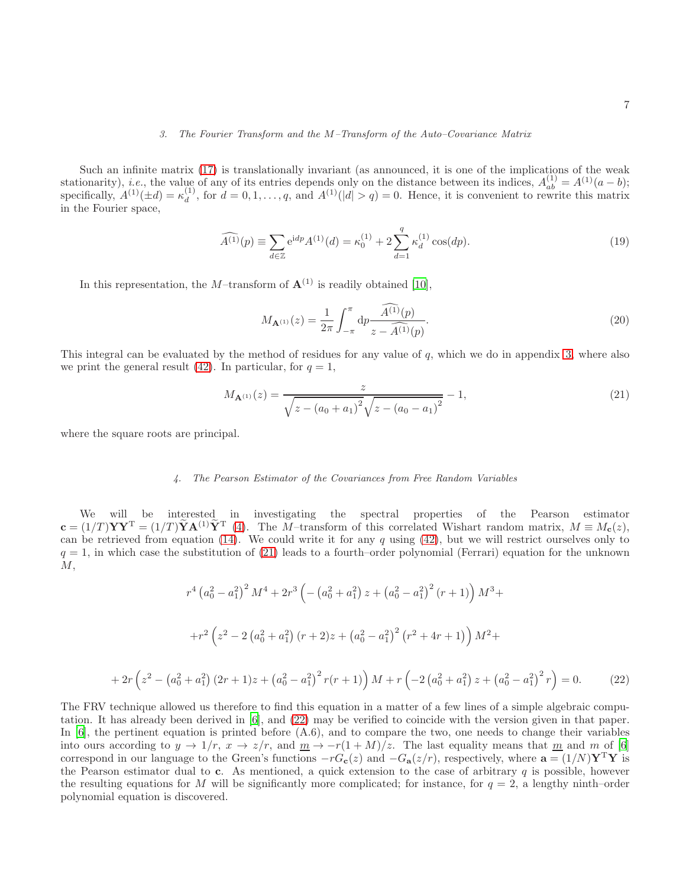# *3. The Fourier Transform and the* M*–Transform of the Auto–Covariance Matrix*

Such an infinite matrix [\(17\)](#page-5-2) is translationally invariant (as announced, it is one of the implications of the weak stationarity), *i.e.*, the value of any of its entries depends only on the distance between its indices,  $A_{ab}^{(1)} = A^{(1)}(a - b)$ ; specifically,  $A^{(1)}(\pm d) = \kappa_d^{(1)}$  $d_d^{(1)}$ , for  $d = 0, 1, \ldots, q$ , and  $A^{(1)}(|d| > q) = 0$ . Hence, it is convenient to rewrite this matrix in the Fourier space,

<span id="page-6-2"></span>
$$
\widehat{A^{(1)}}(p) \equiv \sum_{d \in \mathbb{Z}} e^{idp} A^{(1)}(d) = \kappa_0^{(1)} + 2 \sum_{d=1}^q \kappa_d^{(1)} \cos(dp). \tag{19}
$$

In this representation, the M–transform of  $\mathbf{A}^{(1)}$  is readily obtained [\[10](#page-15-6)],

<span id="page-6-3"></span>
$$
M_{\mathbf{A}^{(1)}}(z) = \frac{1}{2\pi} \int_{-\pi}^{\pi} dp \frac{\widehat{A^{(1)}}(p)}{z - \widehat{A^{(1)}}(p)}.
$$
\n(20)

This integral can be evaluated by the method of residues for any value of q, which we do in appendix [3,](#page-12-1) where also we print the general result [\(42\)](#page-12-2). In particular, for  $q = 1$ ,

<span id="page-6-0"></span>
$$
M_{\mathbf{A}^{(1)}}(z) = \frac{z}{\sqrt{z - (a_0 + a_1)^2} \sqrt{z - (a_0 - a_1)^2}} - 1,\tag{21}
$$

where the square roots are principal.

# *4. The Pearson Estimator of the Covariances from Free Random Variables*

We will be interested in investigating the spectral properties of the Pearson estimator  $\mathbf{c} = (1/T)\mathbf{Y}\mathbf{Y}^{\mathrm{T}} = (1/T)\mathbf{Y}\mathbf{A}^{(1)}\mathbf{Y}^{\mathrm{T}}$  [\(4\)](#page-2-0). The *M*-transform of this correlated Wishart random matrix,  $M \equiv M_{\mathbf{c}}(z)$ , can be retrieved from equation  $(14)$ . We could write it for any q using  $(42)$ , but we will restrict ourselves only to  $q = 1$ , in which case the substitution of [\(21\)](#page-6-0) leads to a fourth–order polynomial (Ferrari) equation for the unknown  $M$ ,

$$
r^{4} (a_{0}^{2} - a_{1}^{2})^{2} M^{4} + 2r^{3} \left( -(a_{0}^{2} + a_{1}^{2}) z + (a_{0}^{2} - a_{1}^{2})^{2} (r+1) \right) M^{3} +
$$

$$
+ r^{2} \left( z^{2} - 2 \left( a_{0}^{2} + a_{1}^{2} \right) (r+2) z + \left( a_{0}^{2} - a_{1}^{2} \right)^{2} (r^{2} + 4r + 1) \right) M^{2} +
$$

$$
+ 2r \left( z^{2} - \left( a_{0}^{2} + a_{1}^{2} \right) (2r+1) z + \left( a_{0}^{2} - a_{1}^{2} \right)^{2} r (r+1) \right) M + r \left( -2 \left( a_{0}^{2} + a_{1}^{2} \right) z + \left( a_{0}^{2} - a_{1}^{2} \right)^{2} r \right) = 0. \tag{22}
$$

<span id="page-6-1"></span>The FRV technique allowed us therefore to find this equation in a matter of a few lines of a simple algebraic computation. It has already been derived in [\[6](#page-15-2)], and [\(22\)](#page-6-1) may be verified to coincide with the version given in that paper. In  $[6]$ , the pertinent equation is printed before  $(A.6)$ , and to compare the two, one needs to change their variables into ours according to  $y \to 1/r$ ,  $x \to z/r$ , and  $\underline{m} \to -r(1+M)/z$ . The last equality means that  $\underline{m}$  and m of [\[6](#page-15-2)] correspond in our language to the Green's functions  $-rG_{c}(z)$  and  $-G_{a}(z/r)$ , respectively, where  $a = (1/N)Y^{T}Y$  is the Pearson estimator dual to  $c$ . As mentioned, a quick extension to the case of arbitrary  $q$  is possible, however the resulting equations for M will be significantly more complicated; for instance, for  $q = 2$ , a lengthy ninth–order polynomial equation is discovered.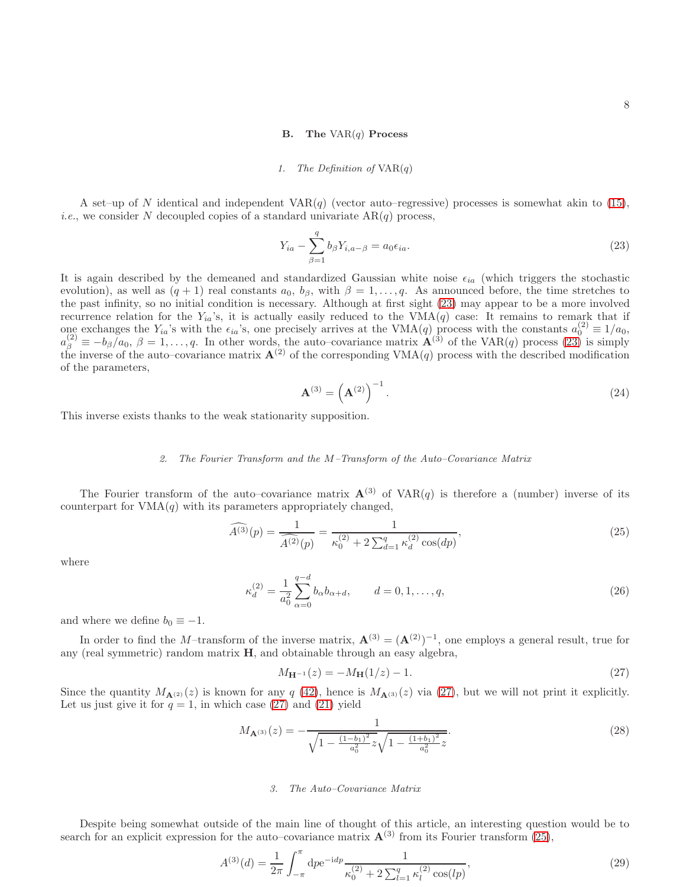## **B.** The  $VAR(q)$  Process

### *1. The Definition of* VAR(q)

A set–up of N identical and independent  $VAR(q)$  (vector auto–regressive) processes is somewhat akin to [\(15\)](#page-5-1), *i.e.*, we consider N decoupled copies of a standard univariate  $AR(q)$  process,

<span id="page-7-0"></span>
$$
Y_{ia} - \sum_{\beta=1}^{q} b_{\beta} Y_{i,a-\beta} = a_0 \epsilon_{ia}.
$$
 (23)

It is again described by the demeaned and standardized Gaussian white noise  $\epsilon_{ia}$  (which triggers the stochastic evolution), as well as  $(q + 1)$  real constants  $a_0, b_\beta$ , with  $\beta = 1, \ldots, q$ . As announced before, the time stretches to the past infinity, so no initial condition is necessary. Although at first sight [\(23\)](#page-7-0) may appear to be a more involved recurrence relation for the  $Y_{ia}$ 's, it is actually easily reduced to the VMA(q) case: It remains to remark that if one exchanges the Y<sub>ia</sub>'s with the  $\epsilon_{ia}$ 's, one precisely arrives at the VMA(q) process with the constants  $a_0^{(2)} \equiv 1/a_0$ ,  $a_{\beta}^{(2)} \equiv -b_{\beta}/a_0$ ,  $\beta = 1, \ldots, q$ . In other words, the auto-covariance matrix  $\mathbf{A}^{(3)}$  of the VAR(q) process [\(23\)](#page-7-0) is simply the inverse of the auto–covariance matrix  $\mathbf{A}^{(2)}$  of the corresponding VMA(q) process with the described modification of the parameters,

<span id="page-7-4"></span>
$$
\mathbf{A}^{(3)} = \left(\mathbf{A}^{(2)}\right)^{-1}.\tag{24}
$$

This inverse exists thanks to the weak stationarity supposition.

# *2. The Fourier Transform and the* M*–Transform of the Auto–Covariance Matrix*

The Fourier transform of the auto–covariance matrix  $A^{(3)}$  of VAR(q) is therefore a (number) inverse of its counterpart for  $VMA(q)$  with its parameters appropriately changed,

<span id="page-7-2"></span>
$$
\widehat{A^{(3)}}(p) = \frac{1}{\widehat{A^{(2)}}(p)} = \frac{1}{\kappa_0^{(2)} + 2\sum_{d=1}^q \kappa_d^{(2)}\cos(dp)},\tag{25}
$$

where

$$
\kappa_d^{(2)} = \frac{1}{a_0^2} \sum_{\alpha=0}^{q-d} b_\alpha b_{\alpha+d}, \qquad d = 0, 1, \dots, q,
$$
\n(26)

and where we define  $b_0 \equiv -1$ .

In order to find the M–transform of the inverse matrix,  $\mathbf{A}^{(3)} = (\mathbf{A}^{(2)})^{-1}$ , one employs a general result, true for any (real symmetric) random matrix H, and obtainable through an easy algebra,

<span id="page-7-1"></span>
$$
M_{\mathbf{H}^{-1}}(z) = -M_{\mathbf{H}}(1/z) - 1.
$$
\n(27)

Since the quantity  $M_{\mathbf{A}^{(2)}}(z)$  is known for any q [\(42\)](#page-12-2), hence is  $M_{\mathbf{A}^{(3)}}(z)$  via [\(27\)](#page-7-1), but we will not print it explicitly. Let us just give it for  $q = 1$ , in which case [\(27\)](#page-7-1) and [\(21\)](#page-6-0) yield

<span id="page-7-3"></span>
$$
M_{\mathbf{A}^{(3)}}(z) = -\frac{1}{\sqrt{1 - \frac{(1 - b_1)^2}{a_0^2}z}\sqrt{1 - \frac{(1 + b_1)^2}{a_0^2}z}}.\tag{28}
$$

## *3. The Auto–Covariance Matrix*

Despite being somewhat outside of the main line of thought of this article, an interesting question would be to search for an explicit expression for the auto–covariance matrix  $\mathbf{A}^{(3)}$  from its Fourier transform [\(25\)](#page-7-2),

<span id="page-7-5"></span>
$$
A^{(3)}(d) = \frac{1}{2\pi} \int_{-\pi}^{\pi} \mathrm{d}p e^{-\mathrm{i}dp} \frac{1}{\kappa_0^{(2)} + 2\sum_{l=1}^{q} \kappa_l^{(2)}\cos(lp)},\tag{29}
$$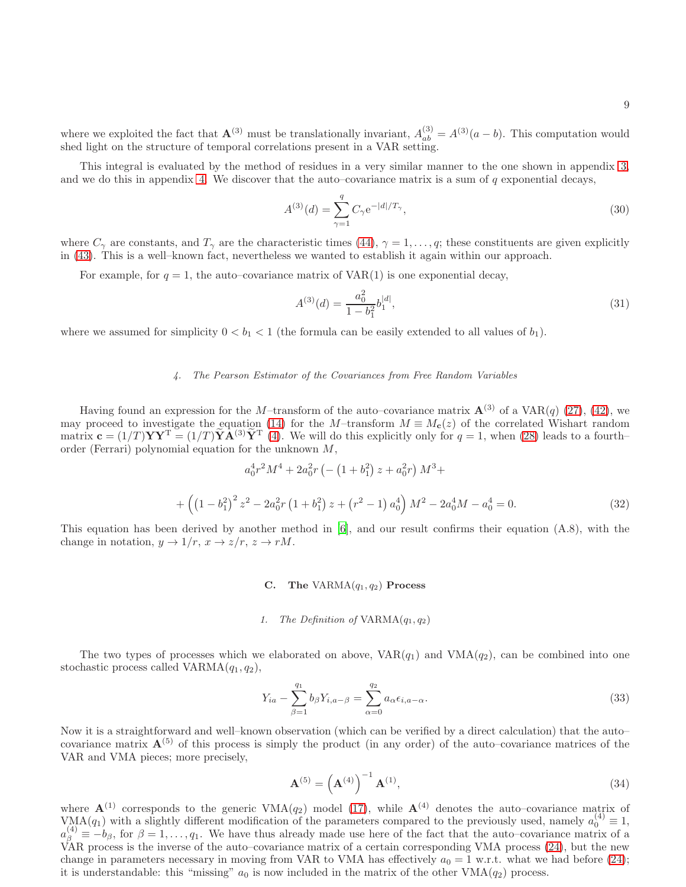where we exploited the fact that  $\mathbf{A}^{(3)}$  must be translationally invariant,  $A_{ab}^{(3)} = A^{(3)}(a - b)$ . This computation would shed light on the structure of temporal correlations present in a VAR setting.

This integral is evaluated by the method of residues in a very similar manner to the one shown in appendix [3,](#page-12-1) and we do this in appendix [4.](#page-12-3) We discover that the auto–covariance matrix is a sum of  $q$  exponential decays,

<span id="page-8-2"></span>
$$
A^{(3)}(d) = \sum_{\gamma=1}^{q} C_{\gamma} e^{-|d|/T_{\gamma}}, \qquad (30)
$$

where  $C_{\gamma}$  are constants, and  $T_{\gamma}$  are the characteristic times [\(44\)](#page-13-0),  $\gamma = 1, \ldots, q$ ; these constituents are given explicitly in [\(43\)](#page-13-1). This is a well–known fact, nevertheless we wanted to establish it again within our approach.

For example, for  $q = 1$ , the auto–covariance matrix of VAR(1) is one exponential decay,

<span id="page-8-3"></span>
$$
A^{(3)}(d) = \frac{a_0^2}{1 - b_1^2} b_1^{|d|},\tag{31}
$$

where we assumed for simplicity  $0 < b_1 < 1$  (the formula can be easily extended to all values of  $b_1$ ).

# *4. The Pearson Estimator of the Covariances from Free Random Variables*

Having found an expression for the M–transform of the auto–covariance matrix  $\mathbf{A}^{(3)}$  of a VAR(q) [\(27\)](#page-7-1), [\(42\)](#page-12-2), we may proceed to investigate the equation [\(14\)](#page-4-3) for the M–transform  $M \equiv M_c(z)$  of the correlated Wishart random matrix  $\mathbf{c} = (1/T) \mathbf{Y} \mathbf{Y}^{\mathrm{T}} = (1/T) \tilde{\mathbf{Y}} \mathbf{A}^{(3)} \tilde{\mathbf{Y}}^{\mathrm{T}}$  [\(4\)](#page-2-0). We will do this explicitly only for  $q = 1$ , when [\(28\)](#page-7-3) leads to a fourthorder (Ferrari) polynomial equation for the unknown M,

$$
a_0^4 r^2 M^4 + 2a_0^2 r \left(-\left(1 + b_1^2\right) z + a_0^2 r\right) M^3 +
$$
  
+ 
$$
\left(\left(1 - b_1^2\right)^2 z^2 - 2a_0^2 r \left(1 + b_1^2\right) z + \left(r^2 - 1\right) a_0^4\right) M^2 - 2a_0^4 M - a_0^4 = 0.
$$
 (32)

This equation has been derived by another method in [\[6\]](#page-15-2), and our result confirms their equation (A.8), with the change in notation,  $y \to 1/r$ ,  $x \to z/r$ ,  $z \to rM$ .

# C. The VARMA $(q_1, q_2)$  Process

## *1. The Definition of* VARMA(q1, q2)

The two types of processes which we elaborated on above,  $VAR(q_1)$  and  $VMA(q_2)$ , can be combined into one stochastic process called  $VARMA(q_1, q_2)$ ,

<span id="page-8-1"></span>
$$
Y_{ia} - \sum_{\beta=1}^{q_1} b_{\beta} Y_{i,a-\beta} = \sum_{\alpha=0}^{q_2} a_{\alpha} \epsilon_{i,a-\alpha}.
$$
 (33)

Now it is a straightforward and well–known observation (which can be verified by a direct calculation) that the auto– covariance matrix  $\mathbf{A}^{(5)}$  of this process is simply the product (in any order) of the auto–covariance matrices of the VAR and VMA pieces; more precisely,

<span id="page-8-0"></span>
$$
\mathbf{A}^{(5)} = \left(\mathbf{A}^{(4)}\right)^{-1} \mathbf{A}^{(1)},\tag{34}
$$

where  $\mathbf{A}^{(1)}$  corresponds to the generic VMA $(q_2)$  model [\(17\)](#page-5-2), while  $\mathbf{A}^{(4)}$  denotes the auto-covariance matrix of VMA $(q_1)$  with a slightly different modification of the parameters compared to the previously used, namely  $a_0^{(4)} \equiv 1$ ,  $a_{\beta}^{(4)} \equiv -b_{\beta}$ , for  $\beta = 1, \ldots, q_1$ . We have thus already made use here of the fact that the auto–covariance matrix of a VAR process is the inverse of the auto–covariance matrix of a certain corresponding VMA process [\(24\)](#page-7-4), but the new change in parameters necessary in moving from VAR to VMA has effectively  $a_0 = 1$  w.r.t. what we had before [\(24\)](#page-7-4); it is understandable: this "missing"  $a_0$  is now included in the matrix of the other  $VMA(q_2)$  process.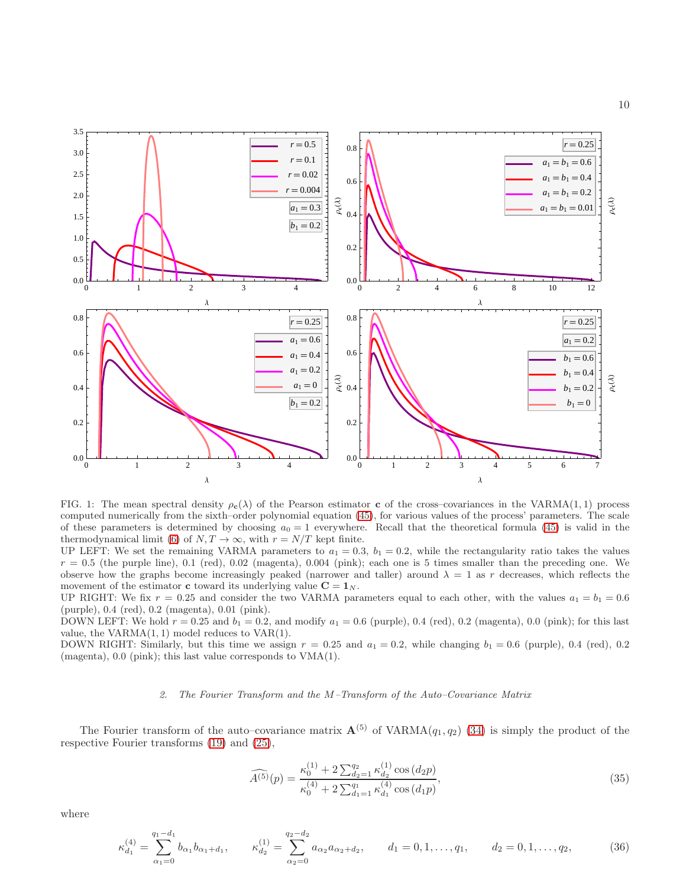

<span id="page-9-1"></span>FIG. 1: The mean spectral density  $\rho_c(\lambda)$  of the Pearson estimator c of the cross–covariances in the VARMA(1, 1) process computed numerically from the sixth–order polynomial equation [\(45\)](#page-14-3), for various values of the process' parameters. The scale of these parameters is determined by choosing  $a_0 = 1$  everywhere. Recall that the theoretical formula [\(45\)](#page-14-3) is valid in the thermodynamical limit [\(6\)](#page-2-1) of  $N, T \to \infty$ , with  $r = N/T$  kept finite.

UP LEFT: We set the remaining VARMA parameters to  $a_1 = 0.3$ ,  $b_1 = 0.2$ , while the rectangularity ratio takes the values  $r = 0.5$  (the purple line), 0.1 (red), 0.02 (magenta), 0.004 (pink); each one is 5 times smaller than the preceding one. We observe how the graphs become increasingly peaked (narrower and taller) around  $\lambda = 1$  as r decreases, which reflects the movement of the estimator **c** toward its underlying value  $C = 1_N$ .

UP RIGHT: We fix  $r = 0.25$  and consider the two VARMA parameters equal to each other, with the values  $a_1 = b_1 = 0.6$ (purple), 0.4 (red), 0.2 (magenta), 0.01 (pink).

DOWN LEFT: We hold  $r = 0.25$  and  $b_1 = 0.2$ , and modify  $a_1 = 0.6$  (purple), 0.4 (red), 0.2 (magenta), 0.0 (pink); for this last value, the  $VARMA(1, 1)$  model reduces to  $VAR(1)$ .

DOWN RIGHT: Similarly, but this time we assign  $r = 0.25$  and  $a_1 = 0.2$ , while changing  $b_1 = 0.6$  (purple), 0.4 (red), 0.2 (magenta), 0.0 (pink); this last value corresponds to VMA(1).

# *2. The Fourier Transform and the* M*–Transform of the Auto–Covariance Matrix*

The Fourier transform of the auto–covariance matrix  $A^{(5)}$  of VARMA $(q_1, q_2)$  [\(34\)](#page-8-0) is simply the product of the respective Fourier transforms [\(19\)](#page-6-2) and [\(25\)](#page-7-2),

<span id="page-9-0"></span>
$$
\widehat{A^{(5)}}(p) = \frac{\kappa_0^{(1)} + 2 \sum_{d_2=1}^{q_2} \kappa_{d_2}^{(1)} \cos (d_2 p)}{\kappa_0^{(4)} + 2 \sum_{d_1=1}^{q_1} \kappa_{d_1}^{(4)} \cos (d_1 p)},
$$
\n(35)

where

$$
\kappa_{d_1}^{(4)} = \sum_{\alpha_1=0}^{q_1-d_1} b_{\alpha_1} b_{\alpha_1+d_1}, \qquad \kappa_{d_2}^{(1)} = \sum_{\alpha_2=0}^{q_2-d_2} a_{\alpha_2} a_{\alpha_2+d_2}, \qquad d_1 = 0, 1, \dots, q_1, \qquad d_2 = 0, 1, \dots, q_2,
$$
\n(36)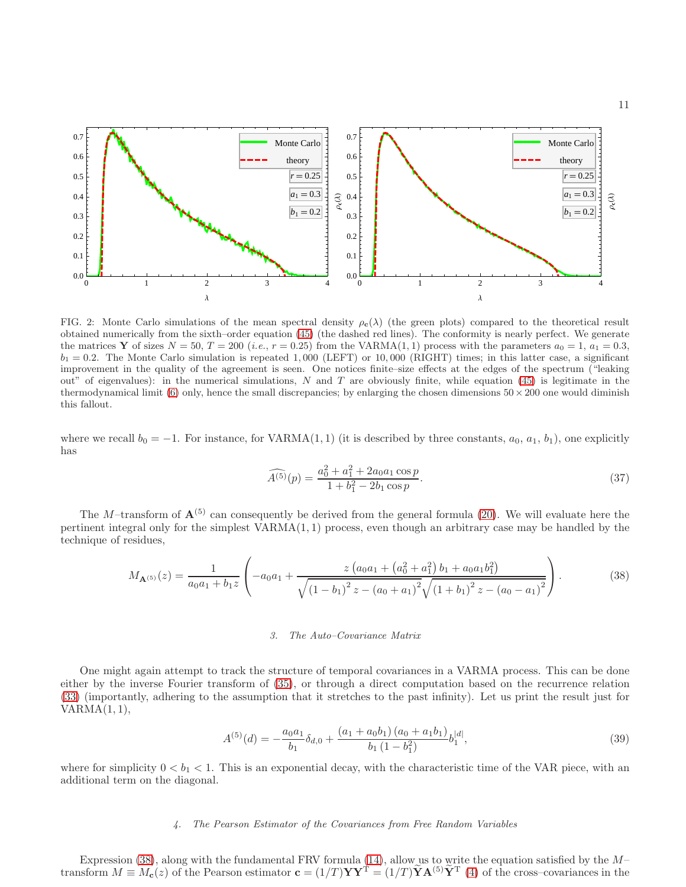

<span id="page-10-1"></span>FIG. 2: Monte Carlo simulations of the mean spectral density  $\rho_c(\lambda)$  (the green plots) compared to the theoretical result obtained numerically from the sixth–order equation [\(45\)](#page-14-3) (the dashed red lines). The conformity is nearly perfect. We generate the matrices Y of sizes  $N = 50$ ,  $T = 200$  (*i.e.*,  $r = 0.25$ ) from the VARMA(1, 1) process with the parameters  $a_0 = 1$ ,  $a_1 = 0.3$ ,  $b_1 = 0.2$ . The Monte Carlo simulation is repeated 1,000 (LEFT) or 10,000 (RIGHT) times; in this latter case, a significant improvement in the quality of the agreement is seen. One notices finite–size effects at the edges of the spectrum ("leaking out" of eigenvalues): in the numerical simulations, N and T are obviously finite, while equation [\(45\)](#page-14-3) is legitimate in the thermodynamical limit [\(6\)](#page-2-1) only, hence the small discrepancies; by enlarging the chosen dimensions  $50 \times 200$  one would diminish this fallout.

where we recall  $b_0 = -1$ . For instance, for VARMA(1, 1) (it is described by three constants,  $a_0, a_1, b_1$ ), one explicitly has

$$
\widehat{A^{(5)}}(p) = \frac{a_0^2 + a_1^2 + 2a_0a_1\cos p}{1 + b_1^2 - 2b_1\cos p}.\tag{37}
$$

The M–transform of  $\mathbf{A}^{(5)}$  can consequently be derived from the general formula [\(20\)](#page-6-3). We will evaluate here the pertinent integral only for the simplest  $VARMA(1, 1)$  process, even though an arbitrary case may be handled by the technique of residues,

<span id="page-10-0"></span>
$$
M_{\mathbf{A}^{(5)}}(z) = \frac{1}{a_0 a_1 + b_1 z} \left( -a_0 a_1 + \frac{z \left( a_0 a_1 + \left( a_0^2 + a_1^2 \right) b_1 + a_0 a_1 b_1^2 \right)}{\sqrt{\left( 1 - b_1 \right)^2 z - \left( a_0 + a_1 \right)^2} \sqrt{\left( 1 + b_1 \right)^2 z - \left( a_0 - a_1 \right)^2}} \right). \tag{38}
$$

# *3. The Auto–Covariance Matrix*

One might again attempt to track the structure of temporal covariances in a VARMA process. This can be done either by the inverse Fourier transform of [\(35\)](#page-9-0), or through a direct computation based on the recurrence relation [\(33\)](#page-8-1) (importantly, adhering to the assumption that it stretches to the past infinity). Let us print the result just for  $VARMA(1, 1),$ 

$$
A^{(5)}(d) = -\frac{a_0 a_1}{b_1} \delta_{d,0} + \frac{(a_1 + a_0 b_1) (a_0 + a_1 b_1)}{b_1 (1 - b_1^2)} b_1^{|d|},\tag{39}
$$

where for simplicity  $0 < b_1 < 1$ . This is an exponential decay, with the characteristic time of the VAR piece, with an additional term on the diagonal.

### *4. The Pearson Estimator of the Covariances from Free Random Variables*

Expression [\(38\)](#page-10-0), along with the fundamental FRV formula [\(14\)](#page-4-3), allow us to write the equation satisfied by the  $M$ transform  $M \equiv M_c(z)$  of the Pearson estimator  $\mathbf{c} = (1/T)\mathbf{Y}\mathbf{Y}^{\mathrm{T}} = (1/T)\mathbf{Y}\mathbf{A}^{(5)}\mathbf{Y}^{\mathrm{T}}$  [\(4\)](#page-2-0) of the cross-covariances in the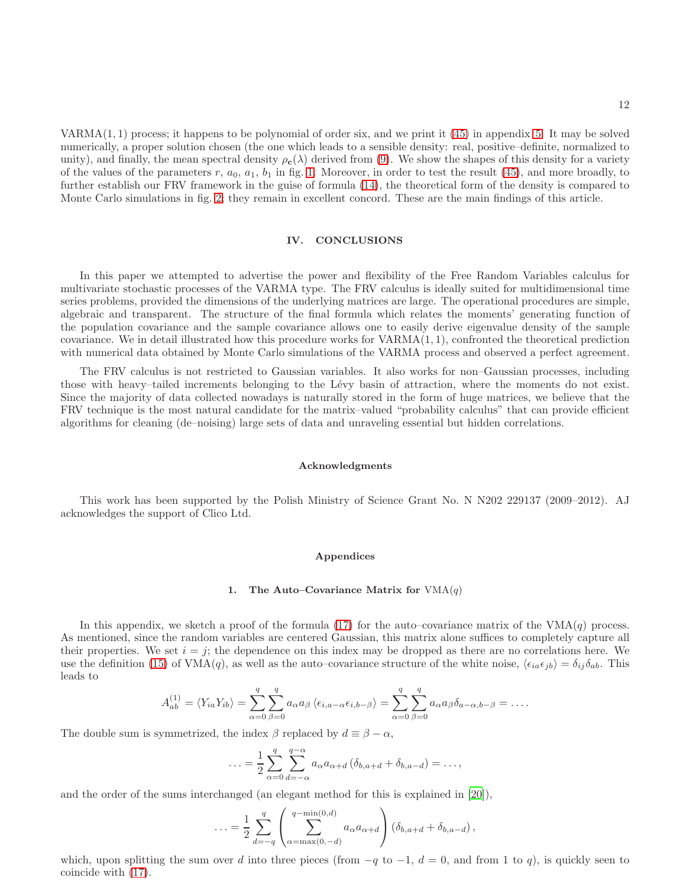12

VARMA(1, 1) process; it happens to be polynomial of order six, and we print it [\(45\)](#page-14-3) in appendix [5.](#page-13-2) It may be solved numerically, a proper solution chosen (the one which leads to a sensible density: real, positive–definite, normalized to unity), and finally, the mean spectral density  $\rho_c(\lambda)$  derived from [\(9\)](#page-3-3). We show the shapes of this density for a variety of the values of the parameters  $r, a_0, a_1, b_1$  in fig. [1.](#page-9-1) Moreover, in order to test the result [\(45\)](#page-14-3), and more broadly, to further establish our FRV framework in the guise of formula [\(14\)](#page-4-3), the theoretical form of the density is compared to Monte Carlo simulations in fig. [2;](#page-10-1) they remain in excellent concord. These are the main findings of this article.

# IV. CONCLUSIONS

In this paper we attempted to advertise the power and flexibility of the Free Random Variables calculus for multivariate stochastic processes of the VARMA type. The FRV calculus is ideally suited for multidimensional time series problems, provided the dimensions of the underlying matrices are large. The operational procedures are simple, algebraic and transparent. The structure of the final formula which relates the moments' generating function of the population covariance and the sample covariance allows one to easily derive eigenvalue density of the sample covariance. We in detail illustrated how this procedure works for VARMA(1, 1), confronted the theoretical prediction with numerical data obtained by Monte Carlo simulations of the VARMA process and observed a perfect agreement.

The FRV calculus is not restricted to Gaussian variables. It also works for non–Gaussian processes, including those with heavy–tailed increments belonging to the L´evy basin of attraction, where the moments do not exist. Since the majority of data collected nowadays is naturally stored in the form of huge matrices, we believe that the FRV technique is the most natural candidate for the matrix–valued "probability calculus" that can provide efficient algorithms for cleaning (de–noising) large sets of data and unraveling essential but hidden correlations.

### Acknowledgments

This work has been supported by the Polish Ministry of Science Grant No. N N202 229137 (2009–2012). AJ acknowledges the support of Clico Ltd.

### Appendices

#### <span id="page-11-0"></span>1. The Auto–Covariance Matrix for  $VMA(q)$

In this appendix, we sketch a proof of the formula [\(17\)](#page-5-2) for the auto–covariance matrix of the  $VMA(q)$  process. As mentioned, since the random variables are centered Gaussian, this matrix alone suffices to completely capture all their properties. We set  $i = j$ ; the dependence on this index may be dropped as there are no correlations here. We use the definition [\(15\)](#page-5-1) of VMA(q), as well as the auto–covariance structure of the white noise,  $\langle \epsilon_{ia} \epsilon_{jb} \rangle = \delta_{ij} \delta_{ab}$ . This leads to

$$
A_{ab}^{(1)} = \langle Y_{ia} Y_{ib} \rangle = \sum_{\alpha=0}^{q} \sum_{\beta=0}^{q} a_{\alpha} a_{\beta} \langle \epsilon_{i,a-\alpha} \epsilon_{i,b-\beta} \rangle = \sum_{\alpha=0}^{q} \sum_{\beta=0}^{q} a_{\alpha} a_{\beta} \delta_{a-\alpha,b-\beta} = \dots
$$

The double sum is symmetrized, the index  $\beta$  replaced by  $d \equiv \beta - \alpha$ ,

$$
\ldots = \frac{1}{2} \sum_{\alpha=0}^{q} \sum_{d=-\alpha}^{q-\alpha} a_{\alpha} a_{\alpha+d} (\delta_{b,a+d} + \delta_{b,a-d}) = \ldots,
$$

and the order of the sums interchanged (an elegant method for this is explained in [\[20\]](#page-15-13)),

$$
\ldots = \frac{1}{2} \sum_{d=-q}^{q} \left( \sum_{\alpha=\max(0,-d)}^{q-\min(0,d)} a_{\alpha} a_{\alpha+d} \right) \left( \delta_{b,a+d} + \delta_{b,a-d} \right),
$$

which, upon splitting the sum over d into three pieces (from  $-q$  to  $-1$ ,  $d = 0$ , and from 1 to q), is quickly seen to coincide with [\(17\)](#page-5-2).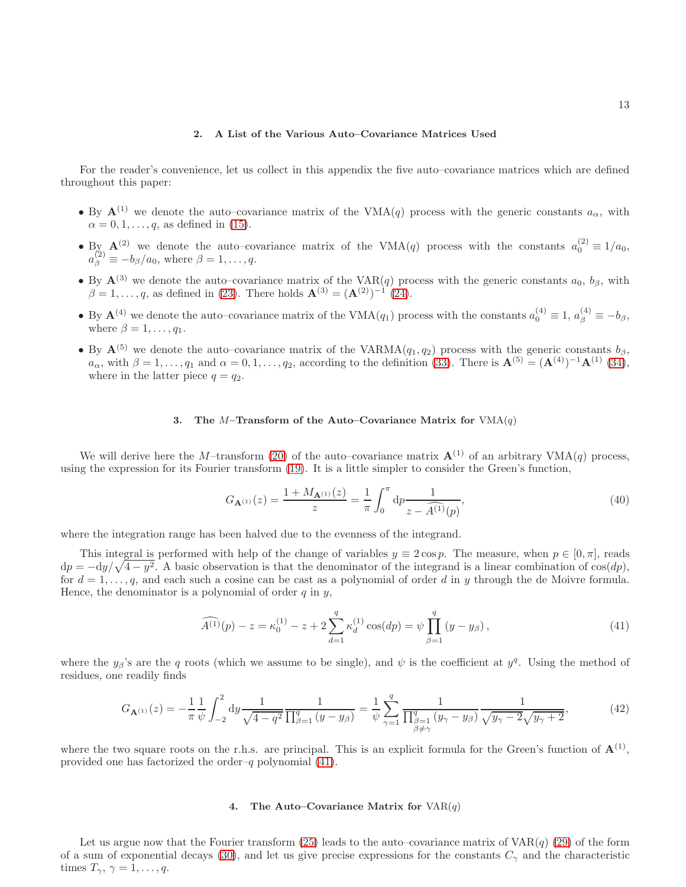# <span id="page-12-0"></span>2. A List of the Various Auto–Covariance Matrices Used

For the reader's convenience, let us collect in this appendix the five auto–covariance matrices which are defined throughout this paper:

- By  $A^{(1)}$  we denote the auto–covariance matrix of the VMA(q) process with the generic constants  $a_{\alpha}$ , with  $\alpha = 0, 1, \ldots, q$ , as defined in [\(15\)](#page-5-1).
- By  $\mathbf{A}^{(2)}$  we denote the auto–covariance matrix of the VMA(q) process with the constants  $a_0^{(2)} \equiv 1/a_0$ ,  $a_{\beta}^{(2)} \equiv -b_{\beta}/a_0$ , where  $\beta = 1, \ldots, q$ .
- By  $\mathbf{A}^{(3)}$  we denote the auto–covariance matrix of the VAR(q) process with the generic constants  $a_0$ ,  $b_\beta$ , with  $\beta = 1, \ldots, q$ , as defined in [\(23\)](#page-7-0). There holds  $\mathbf{A}^{(3)} = (\mathbf{A}^{(2)})^{-1}$  [\(24\)](#page-7-4).
- By  $\mathbf{A}^{(4)}$  we denote the auto–covariance matrix of the VMA $(q_1)$  process with the constants  $a_0^{(4)} \equiv 1, a_\beta^{(4)} \equiv -b_\beta,$ where  $\beta = 1, \ldots, q_1$ .
- By  $A^{(5)}$  we denote the auto–covariance matrix of the VARMA $(q_1, q_2)$  process with the generic constants  $b_\beta$ ,  $a_{\alpha}$ , with  $\beta = 1, \ldots, q_1$  and  $\alpha = 0, 1, \ldots, q_2$ , according to the definition [\(33\)](#page-8-1). There is  $\mathbf{A}^{(5)} = (\mathbf{A}^{(4)})^{-1} \mathbf{A}^{(1)}$  [\(34\)](#page-8-0), where in the latter piece  $q = q_2$ .

# <span id="page-12-1"></span>3. The M–Transform of the Auto–Covariance Matrix for  $VMA(q)$

We will derive here the M–transform [\(20\)](#page-6-3) of the auto–covariance matrix  $\mathbf{A}^{(1)}$  of an arbitrary VMA(q) process, using the expression for its Fourier transform [\(19\)](#page-6-2). It is a little simpler to consider the Green's function,

$$
G_{\mathbf{A}^{(1)}}(z) = \frac{1 + M_{\mathbf{A}^{(1)}}(z)}{z} = \frac{1}{\pi} \int_0^{\pi} dp \frac{1}{z - \widehat{A}^{(1)}(p)},\tag{40}
$$

where the integration range has been halved due to the evenness of the integrand.

This integral is performed with help of the change of variables  $y \equiv 2 \cos p$ . The measure, when  $p \in [0, \pi]$ , reads  $dp = -dy/\sqrt{4-y^2}$ . A basic observation is that the denominator of the integrand is a linear combination of  $\cos(dp)$ , for  $d = 1, \ldots, q$ , and each such a cosine can be cast as a polynomial of order d in y through the de Moivre formula. Hence, the denominator is a polynomial of order  $q$  in  $y$ ,

<span id="page-12-4"></span>
$$
\widehat{A^{(1)}}(p) - z = \kappa_0^{(1)} - z + 2 \sum_{d=1}^q \kappa_d^{(1)} \cos(dp) = \psi \prod_{\beta=1}^q (y - y_\beta), \tag{41}
$$

where the  $y_\beta$ 's are the q roots (which we assume to be single), and  $\psi$  is the coefficient at  $y^q$ . Using the method of residues, one readily finds

<span id="page-12-2"></span>
$$
G_{\mathbf{A}^{(1)}}(z) = -\frac{1}{\pi} \frac{1}{\psi} \int_{-2}^{2} dy \frac{1}{\sqrt{4 - q^2}} \frac{1}{\prod_{\beta=1}^{q} (y - y_{\beta})} = \frac{1}{\psi} \sum_{\gamma=1}^{q} \frac{1}{\prod_{\substack{\beta=1 \\ \beta \neq \gamma}}^{q} (y_{\gamma} - y_{\beta})} \frac{1}{\sqrt{y_{\gamma} - 2\sqrt{y_{\gamma} + 2}}},\tag{42}
$$

where the two square roots on the r.h.s. are principal. This is an explicit formula for the Green's function of  $\mathbf{A}^{(1)}$ , provided one has factorized the order–q polynomial  $(41)$ .

## <span id="page-12-3"></span>4. The Auto–Covariance Matrix for  $VAR(q)$

Let us argue now that the Fourier transform [\(25\)](#page-7-2) leads to the auto–covariance matrix of  $VAR(q)$  [\(29\)](#page-7-5) of the form of a sum of exponential decays [\(30\)](#page-8-2), and let us give precise expressions for the constants  $C_{\gamma}$  and the characteristic times  $T_{\gamma}, \gamma = 1, \ldots, q$ .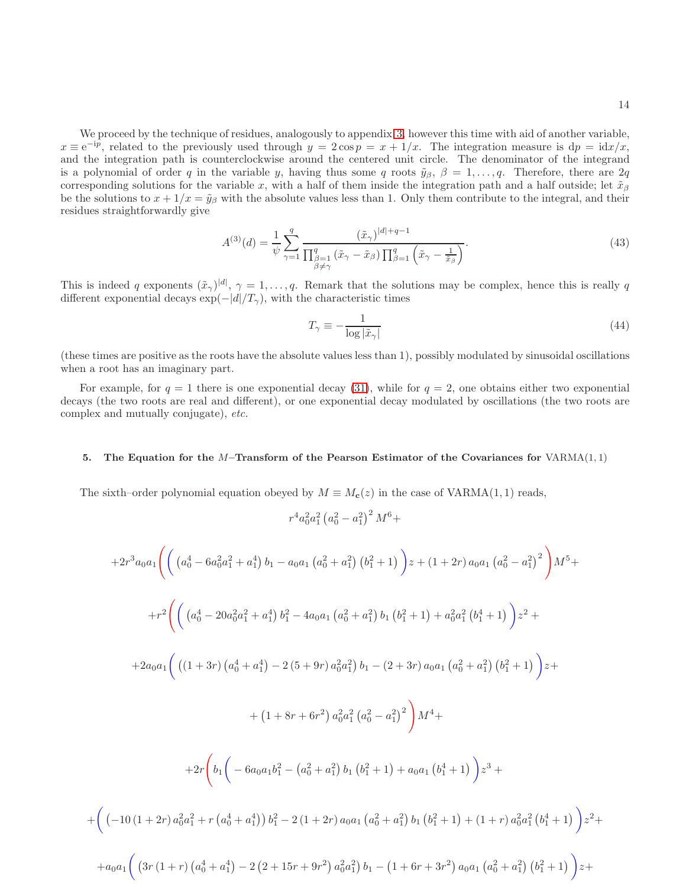14

We proceed by the technique of residues, analogously to appendix [3,](#page-12-1) however this time with aid of another variable,  $x \equiv e^{-ip}$ , related to the previously used through  $y = 2 \cos p = x + 1/x$ . The integration measure is  $dp = idx/x$ , and the integration path is counterclockwise around the centered unit circle. The denominator of the integrand is a polynomial of order q in the variable y, having thus some q roots  $\tilde{y}_{\beta}$ ,  $\beta = 1, \ldots, q$ . Therefore, there are 2q corresponding solutions for the variable x, with a half of them inside the integration path and a half outside; let  $\tilde{x}_{\beta}$ be the solutions to  $x + 1/x = \tilde{y}_{\beta}$  with the absolute values less than 1. Only them contribute to the integral, and their residues straightforwardly give

<span id="page-13-1"></span>
$$
A^{(3)}(d) = \frac{1}{\psi} \sum_{\gamma=1}^{q} \frac{(\tilde{x}_{\gamma})^{|d|+q-1}}{\prod_{\substack{\beta=1 \\ \beta \neq \gamma}}^{q} (\tilde{x}_{\gamma} - \tilde{x}_{\beta}) \prod_{\beta=1}^{q} (\tilde{x}_{\gamma} - \frac{1}{\tilde{x}_{\beta}})}.
$$
\n(43)

This is indeed q exponents  $(\tilde{x}_{\gamma})^{[d]}, \gamma = 1, \ldots, q$ . Remark that the solutions may be complex, hence this is really q different exponential decays  $\exp(-|d|/T_{\gamma})$ , with the characteristic times

<span id="page-13-0"></span>
$$
T_{\gamma} \equiv -\frac{1}{\log|\tilde{x}_{\gamma}|} \tag{44}
$$

(these times are positive as the roots have the absolute values less than 1), possibly modulated by sinusoidal oscillations when a root has an imaginary part.

For example, for  $q = 1$  there is one exponential decay [\(31\)](#page-8-3), while for  $q = 2$ , one obtains either two exponential decays (the two roots are real and different), or one exponential decay modulated by oscillations (the two roots are complex and mutually conjugate), etc.

## <span id="page-13-2"></span>5. The Equation for the M–Transform of the Pearson Estimator of the Covariances for  $VARMA(1, 1)$

The sixth–order polynomial equation obeyed by  $M \equiv M_c(z)$  in the case of VARMA $(1, 1)$  reads,

$$
r^4 a_0^2 a_1^2 \left(a_0^2-a_1^2\right)^2 M^6 +
$$

$$
+2r^{3}a_{0}a_{1}\left(\left((a_{0}^{4}-6a_{0}^{2}a_{1}^{2}+a_{1}^{4})b_{1}-a_{0}a_{1}(a_{0}^{2}+a_{1}^{2})\left(b_{1}^{2}+1\right)\right)z+(1+2r)a_{0}a_{1}\left(a_{0}^{2}-a_{1}^{2}\right)^{2}\right)M^{5}++r^{2}\left(\left((a_{0}^{4}-20a_{0}^{2}a_{1}^{2}+a_{1}^{4})b_{1}^{2}-4a_{0}a_{1}\left(a_{0}^{2}+a_{1}^{2}\right)b_{1}\left(b_{1}^{2}+1\right)+a_{0}^{2}a_{1}^{2}\left(b_{1}^{4}+1\right)\right)z^{2}++2a_{0}a_{1}\left(\left((1+3r)\left(a_{0}^{4}+a_{1}^{4}\right)-2\left(5+9r\right)a_{0}^{2}a_{1}^{2}\right)b_{1}-\left(2+3r\right)a_{0}a_{1}\left(a_{0}^{2}+a_{1}^{2}\right)\left(b_{1}^{2}+1\right)\right)z++(1+8r+6r^{2})a_{0}^{2}a_{1}^{2}\left(a_{0}^{2}-a_{1}^{2}\right)^{2}\right)M^{4}++2r\left(b_{1}\left(-6a_{0}a_{1}b_{1}^{2}-\left(a_{0}^{2}+a_{1}^{2}\right)b_{1}\left(b_{1}^{2}+1\right)+a_{0}a_{1}\left(b_{1}^{4}+1\right)\right)z^{3}+\left(\left(-10\left(1+2r\right)a_{0}^{2}a_{1}^{2}+r\left(a_{0}^{4}+a_{1}^{4}\right)\right)b_{1}^{2}-2\left(1+2r\right)a_{0}a_{1}\left(a_{0}^{2}+a_{1}^{2}\right)b_{1}\left(b_{1}^{2}+1\right)+\left(1+r\right)a_{0}^{2}a_{1}^{2}\left(b_{1}^{4}+1\right)\right)z^{2}++a_{0}a_{1}\left(\left(3r\left(1+r\right)\left(a_{0}^{4}+a_{1}^{4}\right)-2\left(2+15r+9r^{2}\right)a_{0}^{2}a_{1}^{2}\right)b_{1}-\
$$

 $+$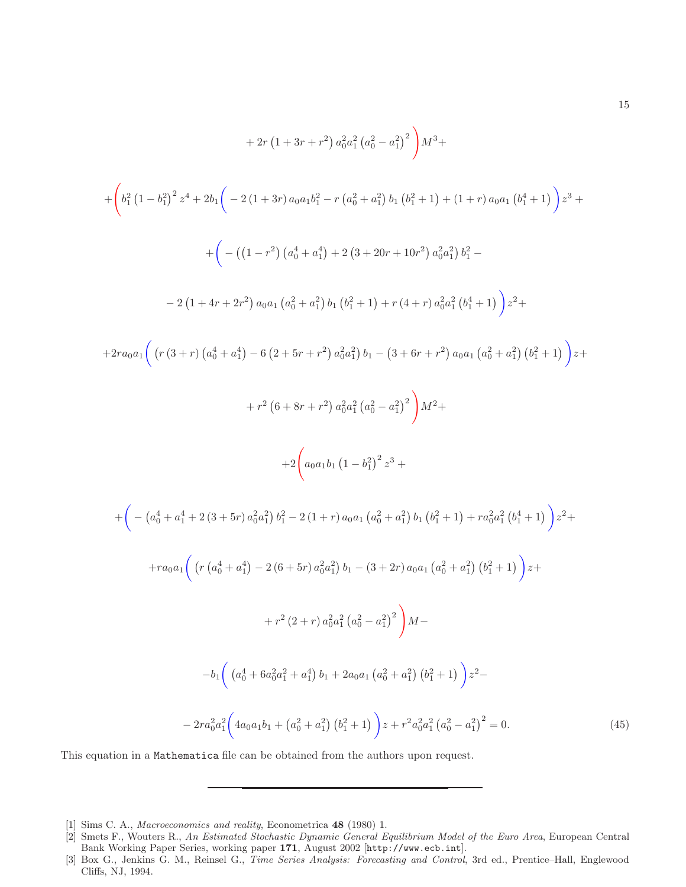$$
+ 2r (1 + 3r + r^{2}) a_{0}^{2} a_{1}^{2} (a_{0}^{2} - a_{1}^{2})^{2} \Big) M^{3} +
$$
\n
$$
+ \left( b_{1}^{2} (1 - b_{1}^{2})^{2} z^{4} + 2b_{1} \Big( -2 (1 + 3r) a_{0} a_{1} b_{1}^{2} - r (a_{0}^{2} + a_{1}^{2}) b_{1} (b_{1}^{2} + 1) + (1 + r) a_{0} a_{1} (b_{1}^{4} + 1) \Big) z^{3} +
$$
\n
$$
+ \Big( - \Big( (1 - r^{2}) (a_{0}^{4} + a_{1}^{4}) + 2 (3 + 20r + 10r^{2}) a_{0}^{2} a_{1}^{2} \Big) b_{1}^{2} -
$$
\n
$$
- 2 (1 + 4r + 2r^{2}) a_{0} a_{1} (a_{0}^{2} + a_{1}^{2}) b_{1} (b_{1}^{2} + 1) + r (4 + r) a_{0}^{2} a_{1}^{2} (b_{1}^{4} + 1) \Big) z^{2} +
$$
\n
$$
+ 2r a_{0} a_{1} \Big( (r (3 + r) (a_{0}^{4} + a_{1}^{4}) - 6 (2 + 5r + r^{2}) a_{0}^{2} a_{1}^{2}) b_{1} - (3 + 6r + r^{2}) a_{0} a_{1} (a_{0}^{2} + a_{1}^{2}) (b_{1}^{2} + 1) \Big) z +
$$
\n
$$
+ r^{2} (6 + 8r + r^{2}) a_{0}^{2} a_{1}^{2} (a_{0}^{2} - a_{1}^{2})^{2} \Big) M^{2} +
$$
\n
$$
+ 2 \Big( a_{0} a_{1} b_{1} (1 - b_{1}^{2})^{2} z^{3} +
$$
\n
$$
+ \Big( - (a_{0}^{4} + a_{1}^{4} + 2 (3 + 5r) a_{0}^{2} a_{1}^{2}) b_{1}^{2} - 2 (1 + r) a_{0} a_{1} (a_{0}^{2} + a_{1}^{2}) b_{1} (b_{1}^{2} + 1) + r a_{0}^{2} a_{1}^{2}
$$

<span id="page-14-3"></span>This equation in a Mathematica file can be obtained from the authors upon request.

15

<span id="page-14-0"></span><sup>[1]</sup> Sims C. A., *Macroeconomics and reality*, Econometrica 48 (1980) 1.

<span id="page-14-1"></span><sup>[2]</sup> Smets F., Wouters R., *An Estimated Stochastic Dynamic General Equilibrium Model of the Euro Area*, European Central Bank Working Paper Series, working paper 171, August 2002 [http://www.ecb.int].

<span id="page-14-2"></span><sup>[3]</sup> Box G., Jenkins G. M., Reinsel G., *Time Series Analysis: Forecasting and Control*, 3rd ed., Prentice–Hall, Englewood Cliffs, NJ, 1994.